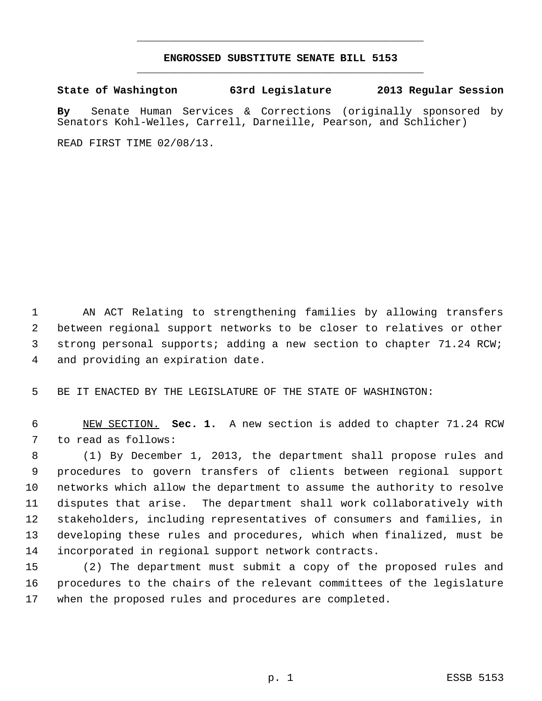## **ENGROSSED SUBSTITUTE SENATE BILL 5153** \_\_\_\_\_\_\_\_\_\_\_\_\_\_\_\_\_\_\_\_\_\_\_\_\_\_\_\_\_\_\_\_\_\_\_\_\_\_\_\_\_\_\_\_\_

\_\_\_\_\_\_\_\_\_\_\_\_\_\_\_\_\_\_\_\_\_\_\_\_\_\_\_\_\_\_\_\_\_\_\_\_\_\_\_\_\_\_\_\_\_

**State of Washington 63rd Legislature 2013 Regular Session**

**By** Senate Human Services & Corrections (originally sponsored by Senators Kohl-Welles, Carrell, Darneille, Pearson, and Schlicher)

READ FIRST TIME 02/08/13.

 AN ACT Relating to strengthening families by allowing transfers between regional support networks to be closer to relatives or other strong personal supports; adding a new section to chapter 71.24 RCW; and providing an expiration date.

BE IT ENACTED BY THE LEGISLATURE OF THE STATE OF WASHINGTON:

 NEW SECTION. **Sec. 1.** A new section is added to chapter 71.24 RCW to read as follows:

 (1) By December 1, 2013, the department shall propose rules and procedures to govern transfers of clients between regional support networks which allow the department to assume the authority to resolve disputes that arise. The department shall work collaboratively with stakeholders, including representatives of consumers and families, in developing these rules and procedures, which when finalized, must be incorporated in regional support network contracts.

 (2) The department must submit a copy of the proposed rules and procedures to the chairs of the relevant committees of the legislature when the proposed rules and procedures are completed.